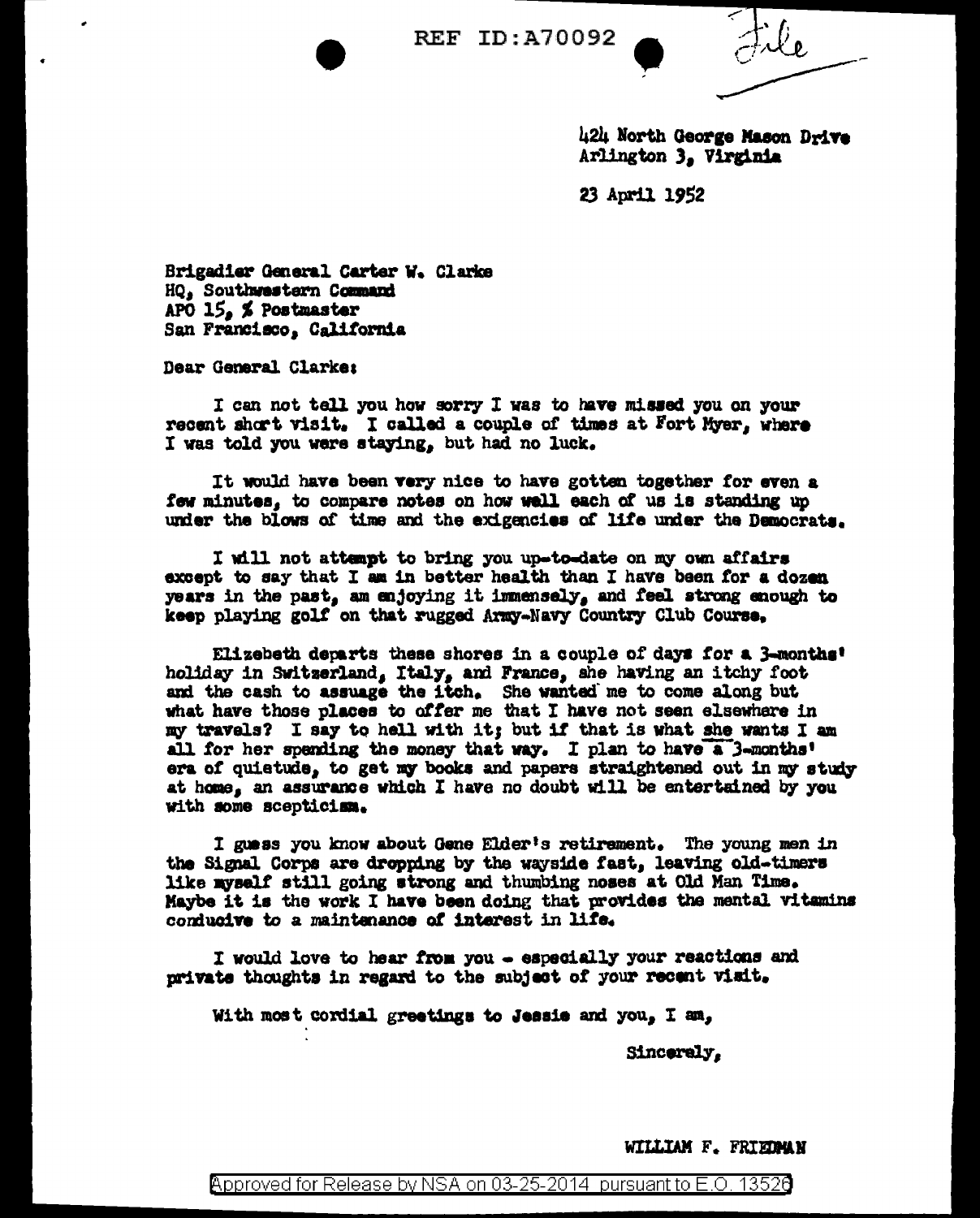424 North George Mason Drive Arlington 3. Virginia

23 April 1952

Brigadier General Carter W. Clarke HQ, Southwestern Command APO  $15.5$  % Postmaster San Francisco, California

**Dear General Clarke:** 

I can not tell you how sorry I was to have missed you on your recent short visit. I called a couple of times at Fort Myer, where I was told you were staying, but had no luck.

It would have been very nice to have gotten together for even a few minutes, to compare notes on how well each of us is standing up under the blows of time and the exigencies of life under the Democrats.

I will not attempt to bring you up-to-date on my own affairs except to say that I am in better health than I have been for a dozen years in the past, am enjoying it immensely, and feel strong enough to keep playing golf on that rugged Army-Navy Country Club Course.

Elizebeth departs these shores in a couple of days for a 3-months' holiday in Switzerland, Italy, and France, she having an itchy foot and the cash to assuage the itch. She wanted me to come along but what have those places to offer me that I have not seen elsewhere in my travels? I say to hell with it; but if that is what she wants I am all for her spending the money that way. I plan to have a 3-months' era of quietude, to get my books and papers straightened out in my study at home, an assurance which I have no doubt will be entertained by you with some scepticism.

I guess you know about Gene Elder's retirement. The young men in the Signal Corps are dropping by the wayside fast, leaving old-timers like myself still going strong and thumbing noses at Old Man Time. Maybe it is the work I have been doing that provides the mental vitamins conducive to a maintenance of interest in life.

I would love to hear from you - especially your reactions and private thoughts in regard to the subject of your recent visit.

With most cordial greetings to Jessie and you, I am,

Sinceraly.

WILLIAM F. FRIEDMAN

Approved for Release by NSA on 03-25-2014 pursuant to E.O. 13526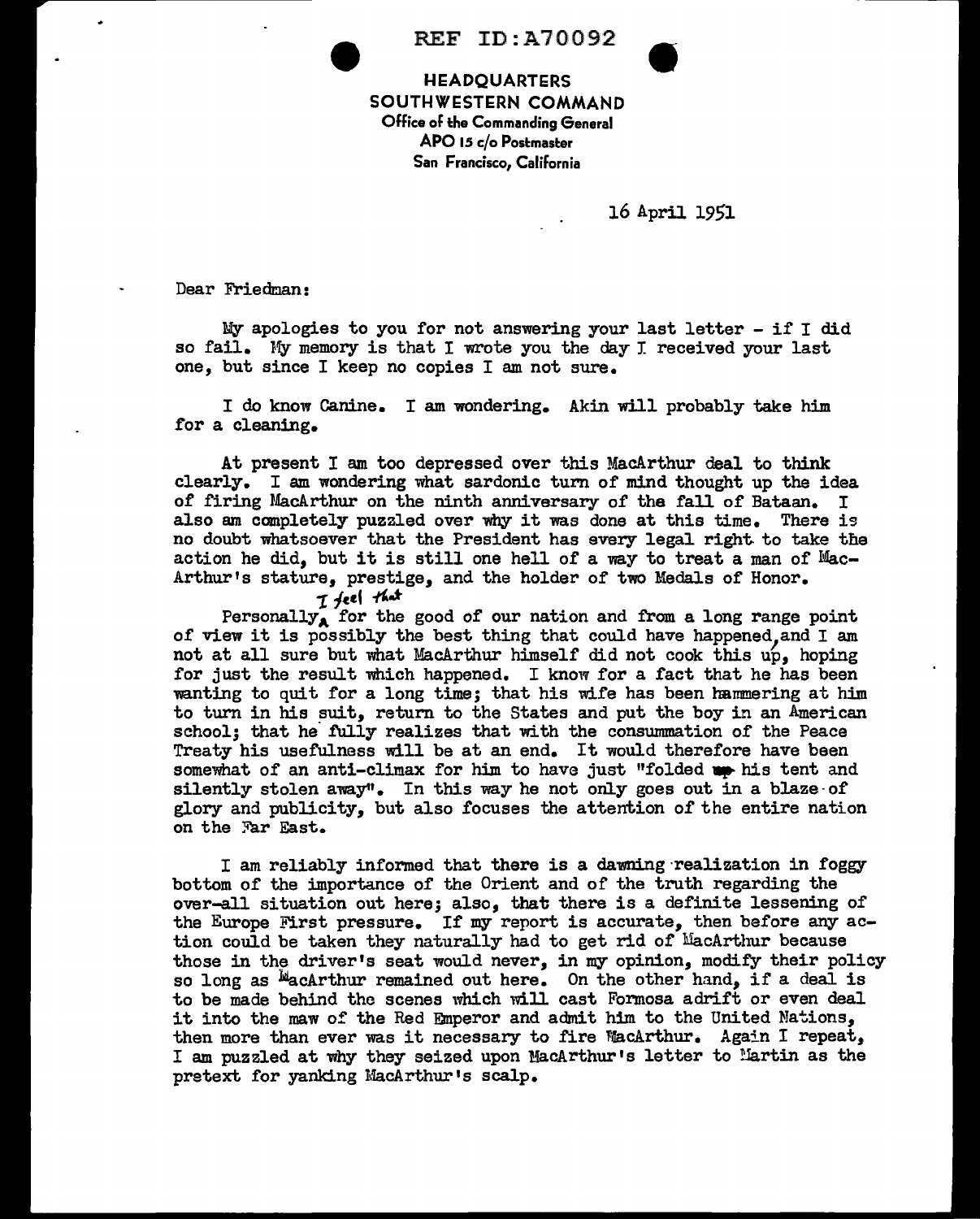REF ID:A70092

## **HEADQUARTERS** SOUTHWESTERN COMMAND Office of the Commanding General APO 15 c/o Postmaster San Francisco, California

16 April 1951

Dear Friedman:

My apologies to you for not answering your last letter  $-$  if I did so fail. My memory is that I wrote you the day  $I$  received your last one, but since I keep no copies I am not sure.

I do know Canine. I am wondering. Akin will probably take him for a cleaning.

At present I am too depressed over this MacArthur deal to think clearly. I am wondering what sardonic turn of mind thought up the idea of firing MacArthur on the ninth anniversary of the fall of Bataan. I also *am* completely puzzled over why it was done at this time. There is no doubt whatsoever that the President has every legal right. to take the action he did, but it is still one hell of a way to treat a man of Mac-Arthur's stature, prestige, and the holder of two Medals of Honor.

 $7$  feel that Personally<sub>a</sub> for the good of our nation and from a long range point of view it is possibly the best thing that could have happened. and I am not at all sure but what MacArthur himself did not cook this up, hoping for just the result which happened. I know for a fact that he has been wanting to quit for a long time; that his wife has been hammering at him to turn in his suit, return to the States and put the boy in an American school; that he fully realizes that with the consummation of the Peace Treaty his usefulness will be at an end. It would therefore have been somewhat of an anti-climax for him to have just "folded we his tent and silently stolen away". In this way he not only goes out in a blaze of glory and publicity, but also focuses the attention of the entire nation on the Far East.

I am reliably informed that there is a dawning realization in foggy bottom of the importance of the Orient and of the truth regarding the over-all situation out here; also, that there is a definite lessening of the Europe First pressure. If my report is accurate, then before any action could be taken they naturally had to get rid of MacArthur because those in the driver's seat would never, in my opinion, modify their policy so long as  $^{\omega}$ acArthur remained out here. On the other hand, if a deal is to be made behind the scenes which will cast Formosa adrift or even deal it into the maw of the Red Emperor and admit him to the United Nations, then more than ever was it necessary to fire MacArthur. Again I repeat, I am puzzled at why they seized upon MacArthur's letter to Martin as the pretext for yanking MacArthur's scalp.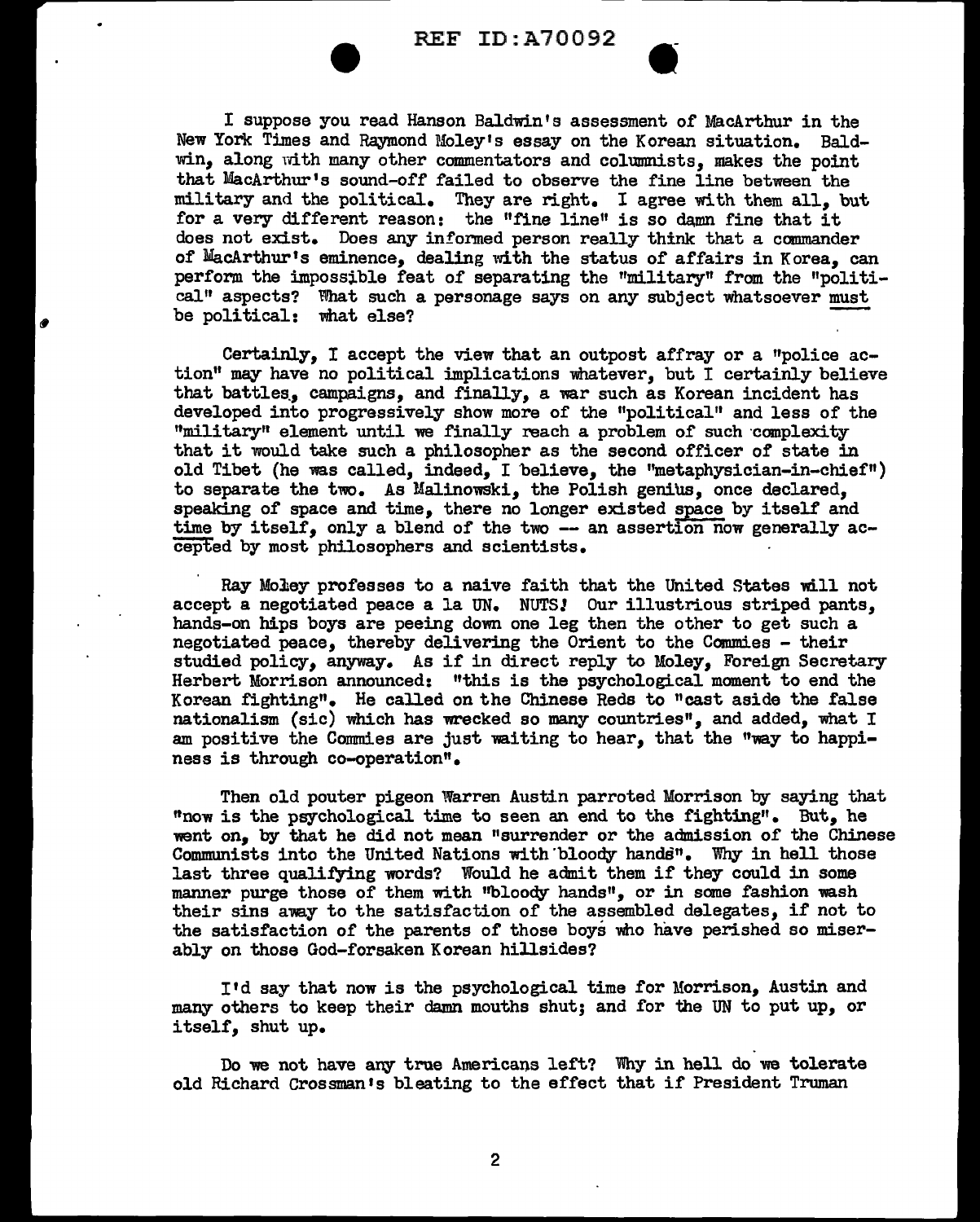I suppose you read Hanson Baldwin's assessment of MacArthur in the New York Times and Raymond Moley's essay on the Korean situation. Baldvdn, along with many other commentators and columnists, makes the point that MacArthur's sound-off failed to observe the fine line between the military and the political. They are right. I agree with them all, but for a very different reason: the "fine line" is so damn fine that it does not exist. Does any informed person really think that a commander of MacArthur's eminence, dealing with the status of affairs in Korea, can perform. the impossible feat of separating the "military" from the "political" aspects? What such a personage says on any subject whatsoever must be political: what else?

Certainly, I accept the view that an outpost affray or a "police action" may have no political implications whatever, but I certainly believe that battles., campaigns, and finally, a war such as Korean incident has developed into progressively show more of the "political" and less of the "military" element until we finally reach a problem of such ·complexity that it would take such a philosopher as the second officer of state in old Tibet (he was called, indeed, I believe, the "metaphysician-in-chief") to separate the two. As Malinowski, the Polish genius, once declared, speaking of space and time, there no longer existed space by itself and time by itself. only a blend of the two -- an assertion now generally accepted by most philosophers and scientists. ·

Ray Moley professes to a naive faith that the United States will not accept a negotiated peace a la UN. NUTS! Our illustrious striped pants. hands-on hips boys are peeing down one leg then the other to get such a negotiated peace, thereby delivering the Orient to the Commies - their studied policy, anyway. As if in direct reply to Moley, Foreign Secretary Herbert Morrison announced: "this is the psychological moment to end the Korean fighting". He called on the Chinese Reds to "cast aside the false nationalism (sic) which has wrecked so many countries", and added, what I am positive the Commies are just waiting to hear, that the "way to happiness is through co-operation".

Then old pouter pigeon Warren Austin parroted Morrison by saying that "now is the psychological time to seen an end to the fighting". But, he went on, by that he did not mean "surrender or the admission of the Chinese Communists into the United Nations with bloody hand $\mathbf{s}^*$ . Why in hell those last three qualifying words? Would he admit them if they could in some manner purge those of them with ''bloody hands", or in some fashion wash their sins away to the satisfaction of the assembled delegates, if not to the satisfaction of the parents of those boys who have perished so miserably on those God-forsaken Korean hillsides?

I'd say that now is the psychological time for Morrison, Austin and many others to keep their damn mouths shut; and for the UN to put up, or itself, shut up.

Do we not have any true Americans left? Why in hell do we tolerate old Richard Crossman's bleating to the effect that if President Truman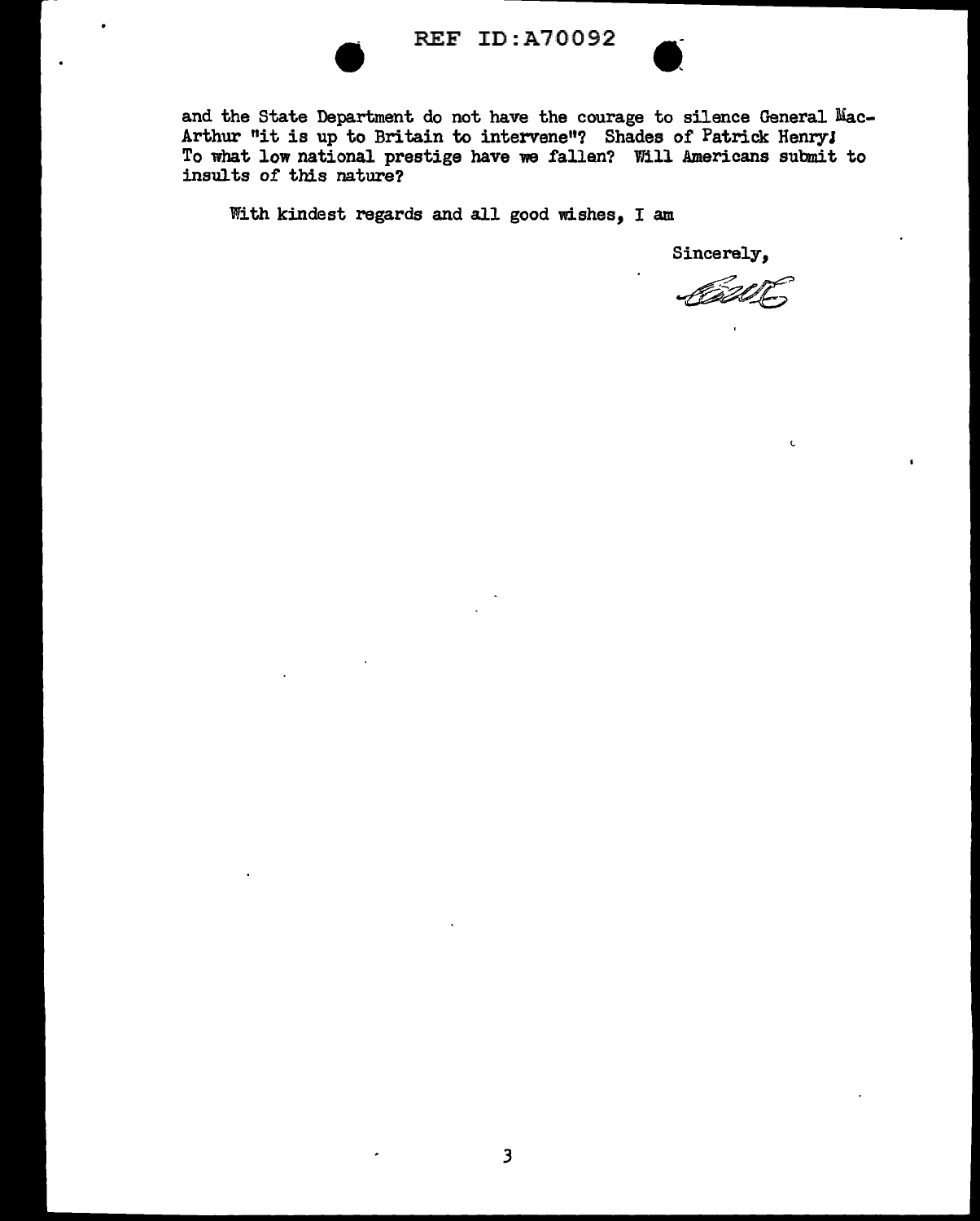



 $\epsilon$ 

REF ID:A70092<br>
and the State Department do not have the courage to silence General Mac-Arthur "it is up to Britain to intervene"? Shades of Patrick Henry! To what low national prestige have we fallen? Will Americans submit to insults of this nature?

With kindest regards and all good wishes, I am

Sincerely,

Ċ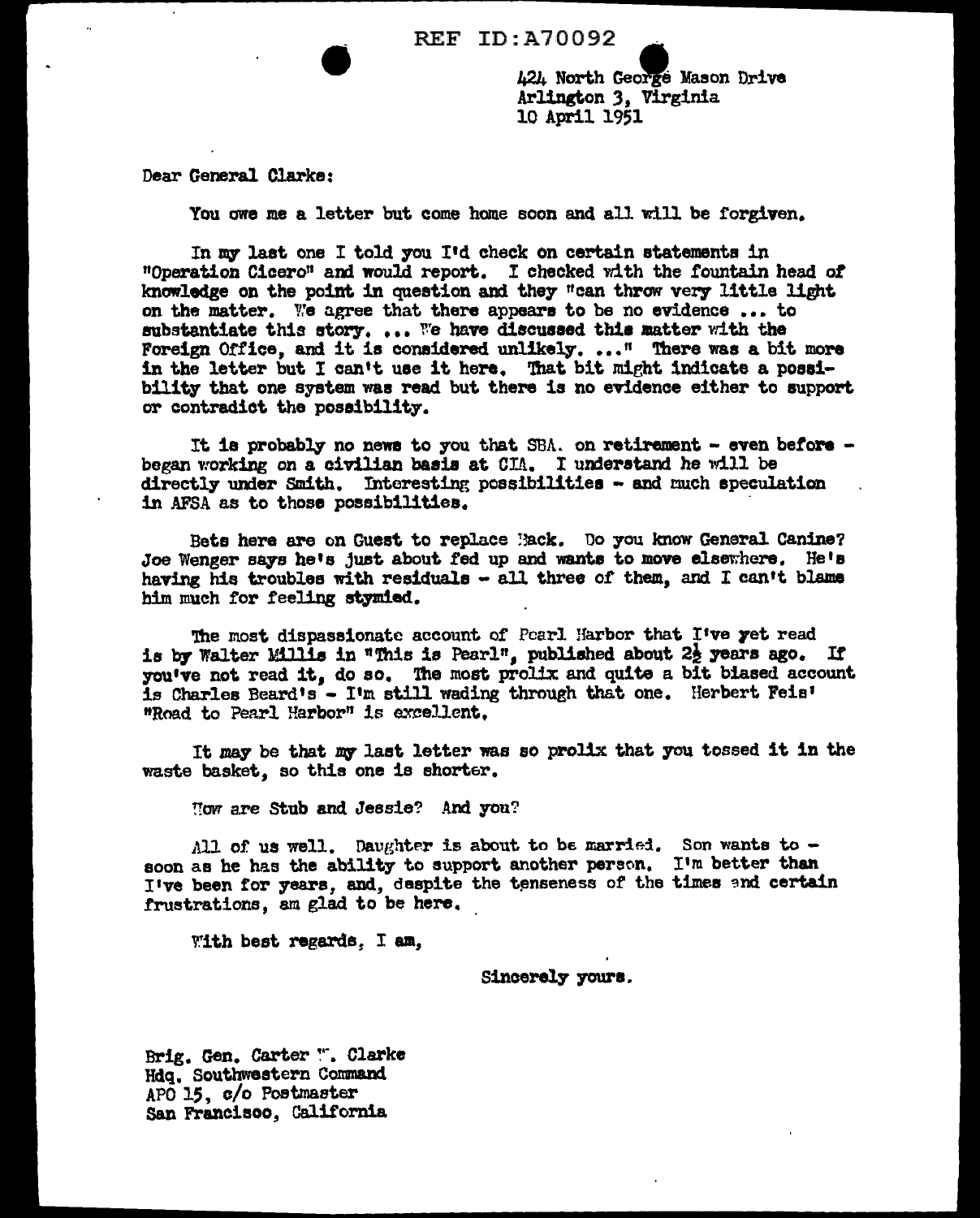

424 North George Mason Drive Arlington *3,* Virginia 10 April 1951

Dear General Clarke:

You owe me a letter but come home soon and all will be forgiven.

In my last one I told you I'd check on certain statements in "Operation Cicero" and would report. I checked with the fountain head of knowledge on the point in question and they "can throw very little light on the matter. We agree that there appears to be no evidence ... to substantiate this story. ... We have discussed this matter with the Foreign Office, and it is considered unlikely. ..." There was a bit more in the letter but I can't use it here. That bit might indicate a possi-<br>bility that one system was read but there is no evidence either to support or contradict the posaibility.

It is probably no news to you that SBA. on retirement - even before - began working on a civilian basis at CIA. I understand he will be directly under Smith. Interesting possibilities - and much speculation in AFSA as to those possibilities.

Bets here are on Guest to replace ; ack. Do you know General Canine? Joe Wenger says he's just about fed up and wants to move elsewhere. He's having his troubles with residuals  $-$  all three of them, and I can't blame him much for feeling stymied.

The most dispassionate account of Pearl Harbor that I've yet read is by Walter M1111s in "This is Pearl", published about 2 $\frac{1}{2}$  years ago. If you've not read it, do so. The most prolix and quite a bit biased account is Charles Beard's - I•m still wading through that one. Herbert Fels• "Road to Pearl Harbor" is excellent,

It may be that my last letter was so prolix that you tossed it in the waste basket, so this one is shorter.

!!ow a.re Stub and Jessie? And you?

All of us well. Daughter is about to be married. Son wants to - soon as he has the ability to support another person. I'm better than I've been for years, and, despite the tenseness of the times and certain frustrations, am glad to be here.

Vith best regards. I am,

Sincerely yours.

Brig. Gen. Carter ". Clarke Hdq. Southwestern Command APO 15, c/o Postmaster San Francisco, California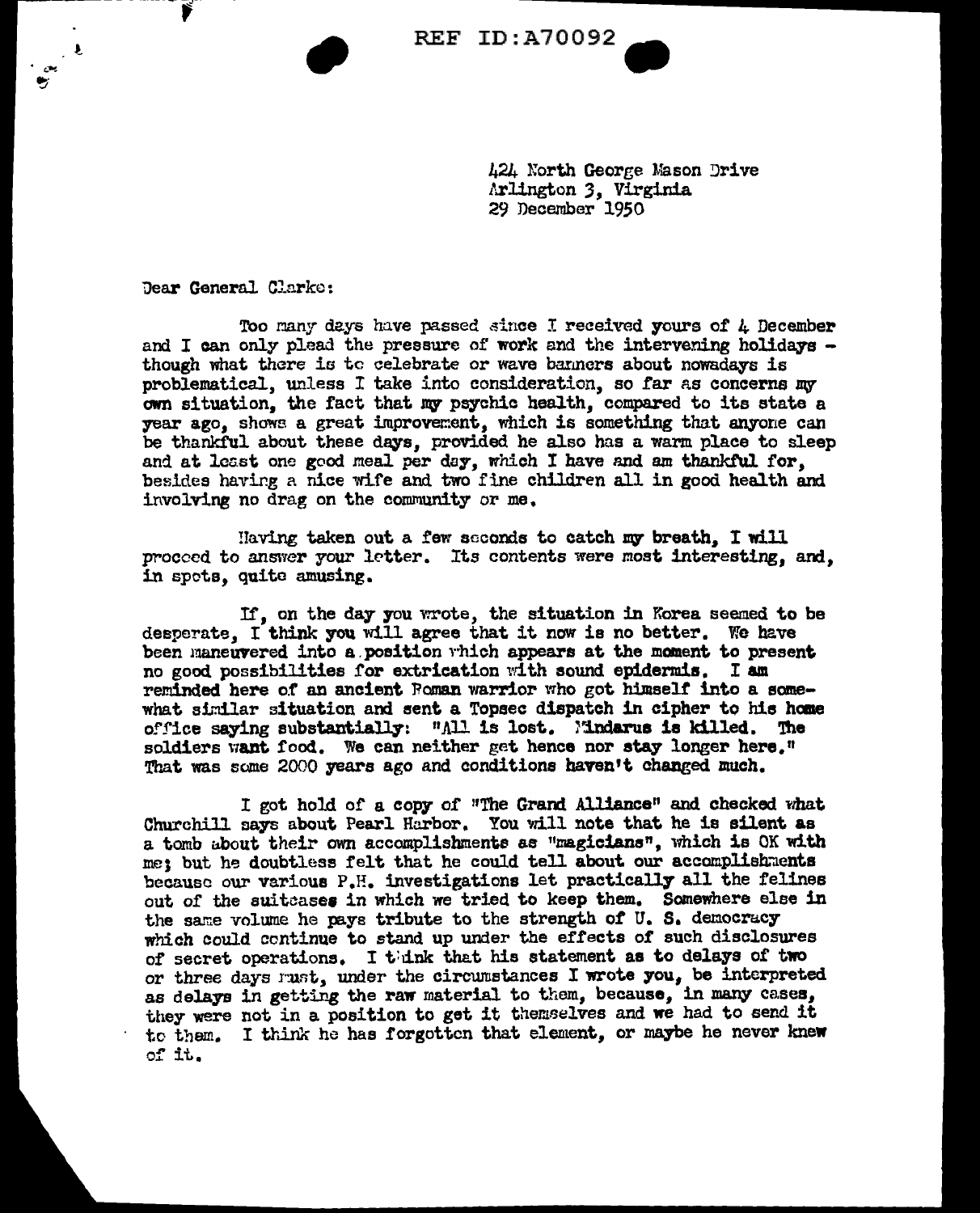REF ID:A70092.

424 North George Mason Drive Arlington 3, Virginia 29 December 1950

Dear General Clarke:

 $\sum_{i=1}^{n}$ 

 $\mathbf{L}$ 

Too many days have passed since I received yours of *L* December and I can only plead the pressure of work and the intervening holidays - though what there is tc celebrate or wave banners about nowadays is problematical, unless I take into consideration, so far as concerns my own situation, the fact that my psychic health, compared to its state a year ago, shows a great improvement, which is something that anyone can be thankful about these days, provided he also has a warm place to sleep and at least one good meal per day, which I have and am thankful for, besides having a nice wife and two fine children all in good health and involving no drag on the community or me.

Having taken out a few seconds to catch my breath. I will proceed to answer your letter. Its contents were most interesting, and, in spots, quite amusing.

If, on the day you wrote, the situation in Korea seemed to be desperate, I think you will agree that it now is no better. We have been maneuvered into a.position rhich appears at the moment to present. no good possibilities for extrication with sound epidermis. I am reminded here of an ancient Roman warrior who got himself into a somewhat similar situation and sent a Topsec dispatch in cipher to his home office saying substantially: "All is lost. Mindarus is killed. The soldiers want food. We can neither get hence nor stay longer here." That was some 2000 years ago and conditions haven't changed much.

I got hold of a copy of "The Grand Alliance" and checked what Churchill says about Pearl Harbor. You will note that he is silent as a tomb about their own accomplishments as "magicians", which is OK with me; but he doubtless felt that he could tell about our accomplishments because our various  $P_{\bullet}H_{\bullet}$  investigations let practically all the felines out of the suitcases in which we tried to keep them. Somewhere else in the same volume he pays tribute to the strength of U.S. democracy which could continue to stand up under the effects of such disclosures of secret operations. I time that his statement as to delays of two or three days rust, under the circumstances I wrote you, be interpreted as delays in getting the raw material to them, because, in many cases, they were not in a position to get it themselves and we had to send it to them. I think he has forgotten that element, or maybe he never knew or it.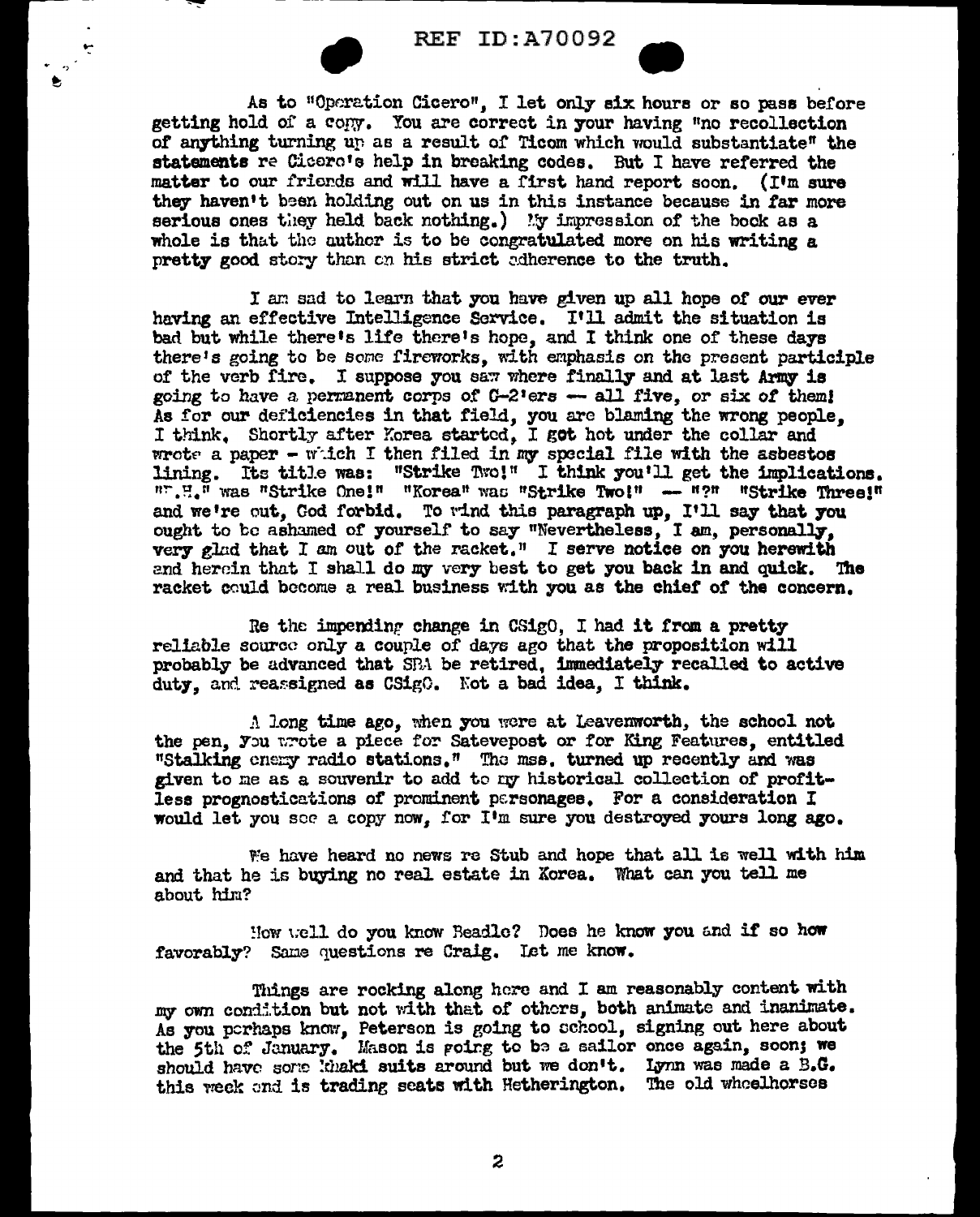



As to "Operation Cicero". I let only six hours or so pass before getting hold of a copy. You are correct in your having "no recollection of anything turning up as a result of Ticom which would substantiate" the statements re Cicoro's help in breaking codes. But I have referred the matter to our friends and will have a first hand report soon. (I'm sure they haven't been holding out on us in this instance because in far more serious ones they held back nothing.) My impression of the book as a whole is that the author is to be congratulated more on his writing a pretty good story than on his strict edherence to the truth.

I am sad to learn that you have given up all hope of our ever having an effective Intelligence Service. I'll admit the situation is bad but while there's life there's hope, and I think one of these days there's going to be some fireworks, with emphasis on the present participle of the verb fire. I suppose you saw where finally and at last Army is going to have a permanent corps of  $G-2$ 'ers  $-$  all five, or six of them! As for our deficiencies in that field, you are blaming the wrong people, I think. Shortly after Korea started. I got hot under the collar and wrote a paper - which I then filed in my special file with the asbestos lining. Its title was: "Strike Two!" I think you'll get the implications. "".H." was "Strike One!" "Korea" was "Strike Two!" - "?" "Strike Three!" and we're out, God forbid. To wind this paragraph up, I'll say that you ought to be ashamed of yourself to say "Nevertheless. I am, personally. very glad that I am out of the racket." I serve notice on you herewith and herein that I shall do my very best to get you back in and quick. The racket could become a real business with you as the chief of the concern.

Re the impending change in CSigO, I had it from a pretty reliable source only a couple of days ago that the proposition will probably be advanced that SBA be retired, immediately recalled to active duty, and reassigned as CSigO. Not a bad idea, I think.

A long time ago, when you were at Leavenworth, the school not the pen. You wrote a piece for Satevepost or for King Features, entitled "Stalking enery radio stations." The mss. turned up recently and was given to me as a souvenir to add to my historical collection of profitless prognostications of prominent parsonages. For a consideration I would let you see a copy now. for I'm sure you destroyed yours long ago.

We have heard no news re Stub and hope that all is well with him and that he is buying no real estate in Korea. What can you tell me about him?

How well do you know Beadle? Does he know you and if so how favorably? Same questions re Craig. Let me know.

Things are rocking along here and I am reasonably content with my own condition but not with that of others, both animate and inanimate. As you perhaps know, Peterson is going to school, signing out here about the 5th of January. Mason is going to be a sailor once again, soon; we should have some khaki suits around but we don't. Iynn was made a B.G. this week and is trading seats with Hetherington. The old wheelhorses

 $\boldsymbol{z}$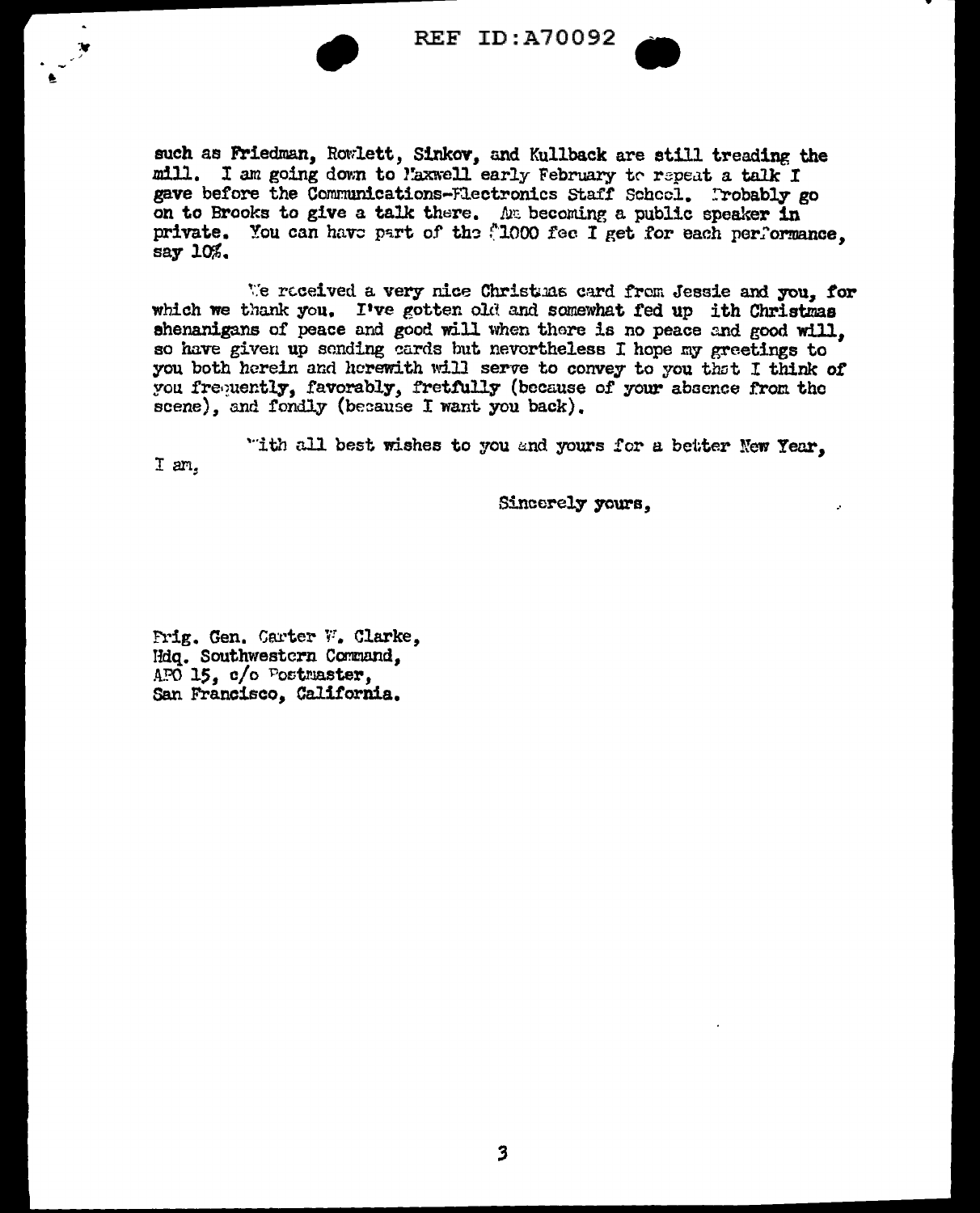



such as Friedman, Rowlett, Sinkov, and Kullback are still treading the mill. I am going down to laxwell early February to repeat a talk I gave before the Communications-Flectronics Staff School. Trobably go on to Brooks to give a talk there. An becoming a public speaker in private. You can have part of the \$1000 fee I get for each performance. say 10%.

We received a very nice Christmas card from Jessie and you, for which we thank you. I've gotten old and somewhat fed up ith Christmas shenanigans of peace and good will when there is no peace and good will. so have given up sending cards but nevertheless I hope my greetings to you both herein and herewith will serve to convey to you that I think of you frequently, favorably, fretfully (because of your absence from the scene), and fondly (because I want you back).

"ith all best wishes to you and yours for a better New Year. I am.

Sincerely yours.

Frig. Gen. Carter W. Clarke. Hdq. Southwestern Command.  $APO$  15, c/o Postmaster, San Francisco, California.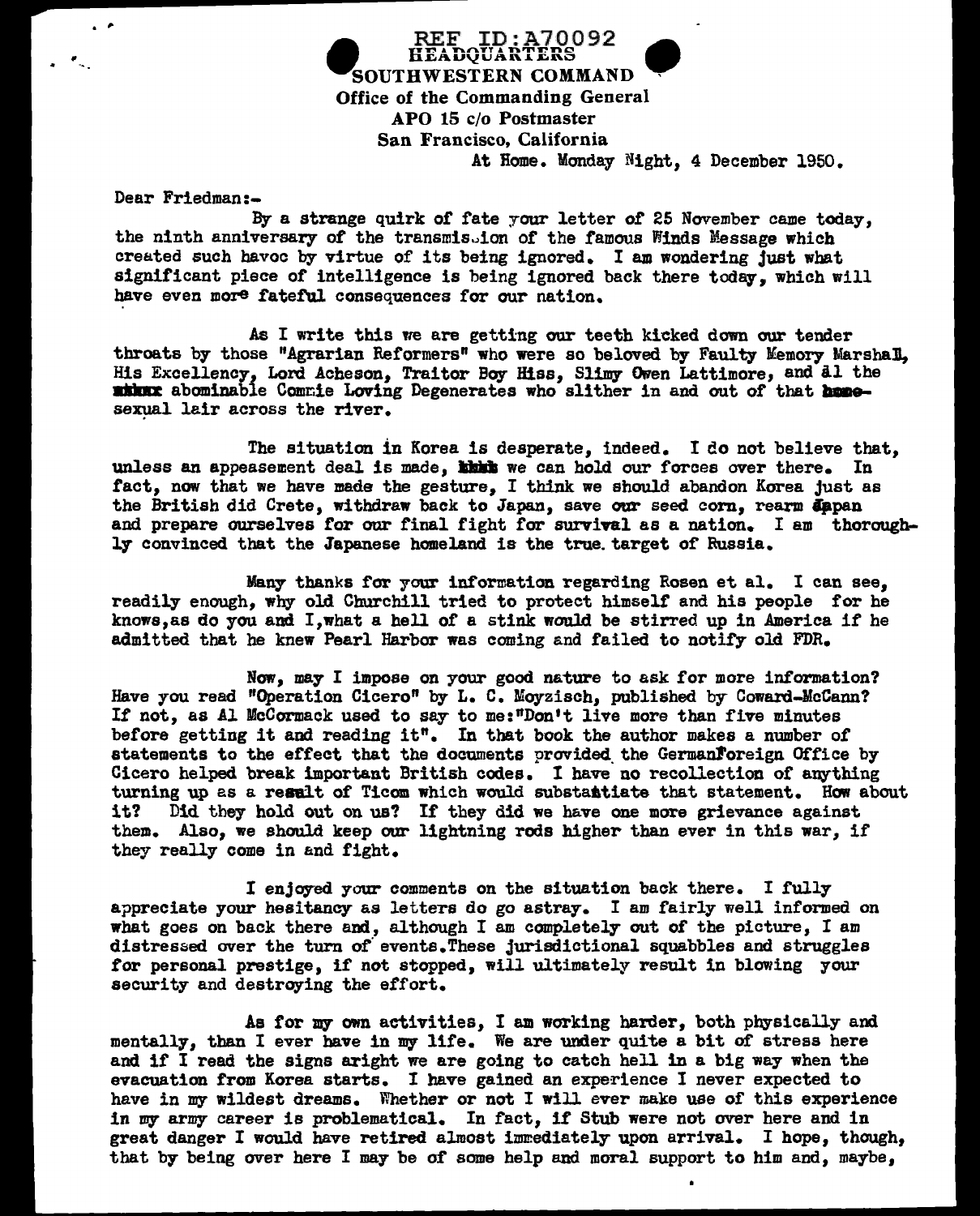REF ID: A70092<br>HEADQUARTERS SOUTHWESTERN COMMAND Office of the Commanding General APO 15 c/o Postmaster San Francisco, California At Home. Monday Night, 4 December 1950.

Dear Friedman:-

..

By a strange quirk of fate your letter of 25 November came today. the ninth anniversary of the transmis<sub>phore</sub> of the famous Winds Message which created such havoc by virtue of its being ignored. I am wondering just what significant piece of intelligence is being ignored back there today, which will have even more fateful consequences for our nation.

As I write this we are getting our teeth kicked down our tender throats by those "Agrarian Reformers" who were so beloved by Faulty Memory Marshall, His Excellency, Lord Acheson, Traitor Boy Hiss, Slimy Owen Lattimore, and al the mshinx abominable Comrie Loving Degenerates who slither in and out of that homesexual lair across the river.

The situation in Korea is desperate, indeed. I do not believe that, unless an appeasement deal is made, think we can hold our forces over there. In fact, now that we have made the gesture, I think we should abandon Korea just as the British did Crete, withdraw back to Japan, save our seed corn, rearm dapan and prepare ourselves for our final fight for survival as a nation. I am thoroughly convinced that the Japanese homeland is the true.target of Russia.

Many thanks for your information regarding Rosen et al. I can see, readily enough, why old Churchill tried to protect himself and his people for he knows,as do you and I,what a hell of a stink would be stirred up in America if he admitted that he knew Pearl Harbor was coming and failed to notify old FDR.

Now, may I impose on your good nature to ask for more information? Have you read "Operation Cicero" by L. c. Moyzisch, published by Coward-McCann? If not, as Al McCormack used to say to me: "Don't live more than five minutes before getting it and reading it". In that book the author makes a number of statements to the effect that the documents provided the GermanPoreign Office by Cicero helped break important British codes. I have no recollection or anything turning up as a result of Ticom which would substatiate that statement. How about it? Did they hold out on us? If they did we have one more grievance against them. Also, we should keep our lightning reds higher than ever in this war, if they really come in and fight.

I enjoyed your comments on the situation back there. I fully appreciate your hesitancy as letters do go astray. I am fairly well informed on what goes on back there and, although I am completely out of the picture, I am distressed over the turn of events. These jurisdictional squabbles and struggles for personal prestige, if not stopped, will ultimately result in blowing your security and destroying the effort.

As for my own activities, I am working harder, both physically and mentally, than I ever have in my life. We are under quite a bit of stress here and if I read the signs aright we are going to catch hell in a big way when the evacuation from Korea starts. I have gained an experience I never expected to have in my wildest dreams. Whether or not I will ever make use of this experience in my army career is problematical. In fact, if Stub were not over here and in great danger I would have retired almost immediately upon arrival. I hope, though, that by being over here I may be of some help and moral support to him and, maybe,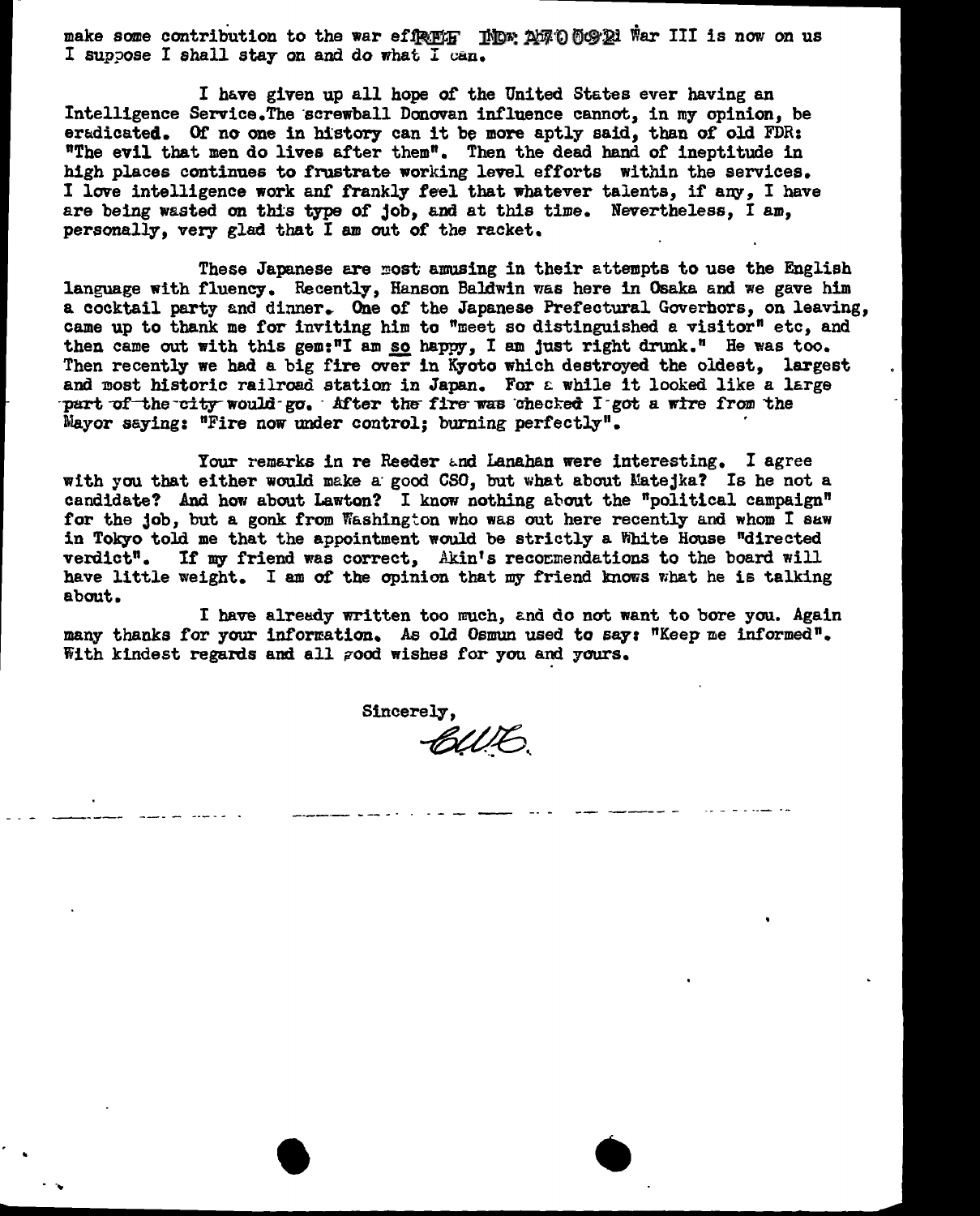make some contribution to the war effent in the Auto of all war III is now on us I suppose I shall stay on and do what  $\overline{I}$  can.

I have given up all hope of the United States ever having an Intelligence Service. The screwball Donovan influence cannot, in my opinion, be eradicated. Of no one in history can it be more aptly said, than of old FDR: "The evil that men do lives after them". Then the dead hand of ineptitude in high places continues to frustrate working level efforts within the services. I love intelligence work anf frankly feel that whatever talents, if any, I have are being wasted on this type of job, and at this time. Nevertheless, I am, personally, very glad that I am out of the racket.

These Japanese are most amusing in their attempts to use the English language with fluency. Recently, Hanson Baldwin was here in Osaka and we gave him a cocktail party and dinner. One of the Japanese Prefectural Goverbors, on leaving, came up to thank me for inviting him to "meet so distinguished a visitor" etc, and then came out with this gem:"I am so happy, I am just right drunk." He was too. Then recently we had a big fire over in Kyoto which destroyed the oldest, largest and most historic railroad station in Japan. For  $\varepsilon$  while it looked like a large part of the city would go. After the fire was checked I got a wire from the Mayor saying: "Fire now under control; burning perfectly".

Your remarks in re Reeder and Lanahan were interesting. I agree with you that either would make a good CSO, but what about Matejka? Is he not a candidate? And how about Lawton? I know nothing about the "political campaign" for the job, but a gonk from Washington who was out here recently and whom I saw in Tokyo told me that the appointment would be strictly a White House "directed verdict". If my friend was correct. Akin's recommendations to the board will If my friend was correct, Akin's recornendations to the board will have little weight. I am of the opinion that my friend knows what he is talking about.

I have alreeidy written too much, and do not want to bore you. Again many thanks for your infomation. As old Osmun used to say: "Keep me informed". With kindest regards and all good wishes for you and yours.

Sincerely,<br>CUC.

 $\bullet$ 

. -..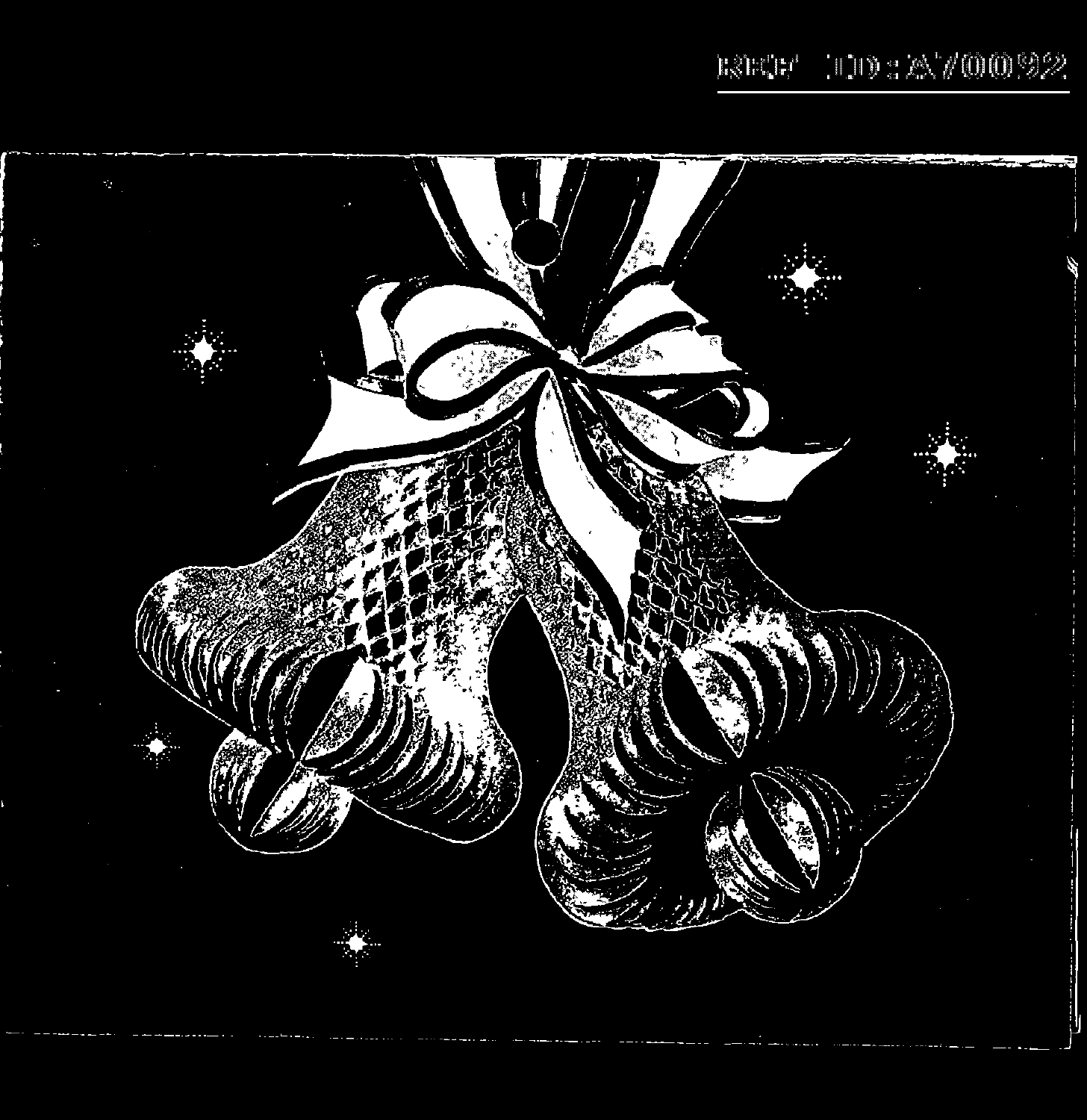## $\mathbb{R}\mathbb{R}\mathbb{R}^{n}=\mathbb{C}^{n}\otimes \mathbb{R}\backslash\mathbb{C}^{n}\mathbb{O}(\mathbb{O})\otimes \mathbb{S}$

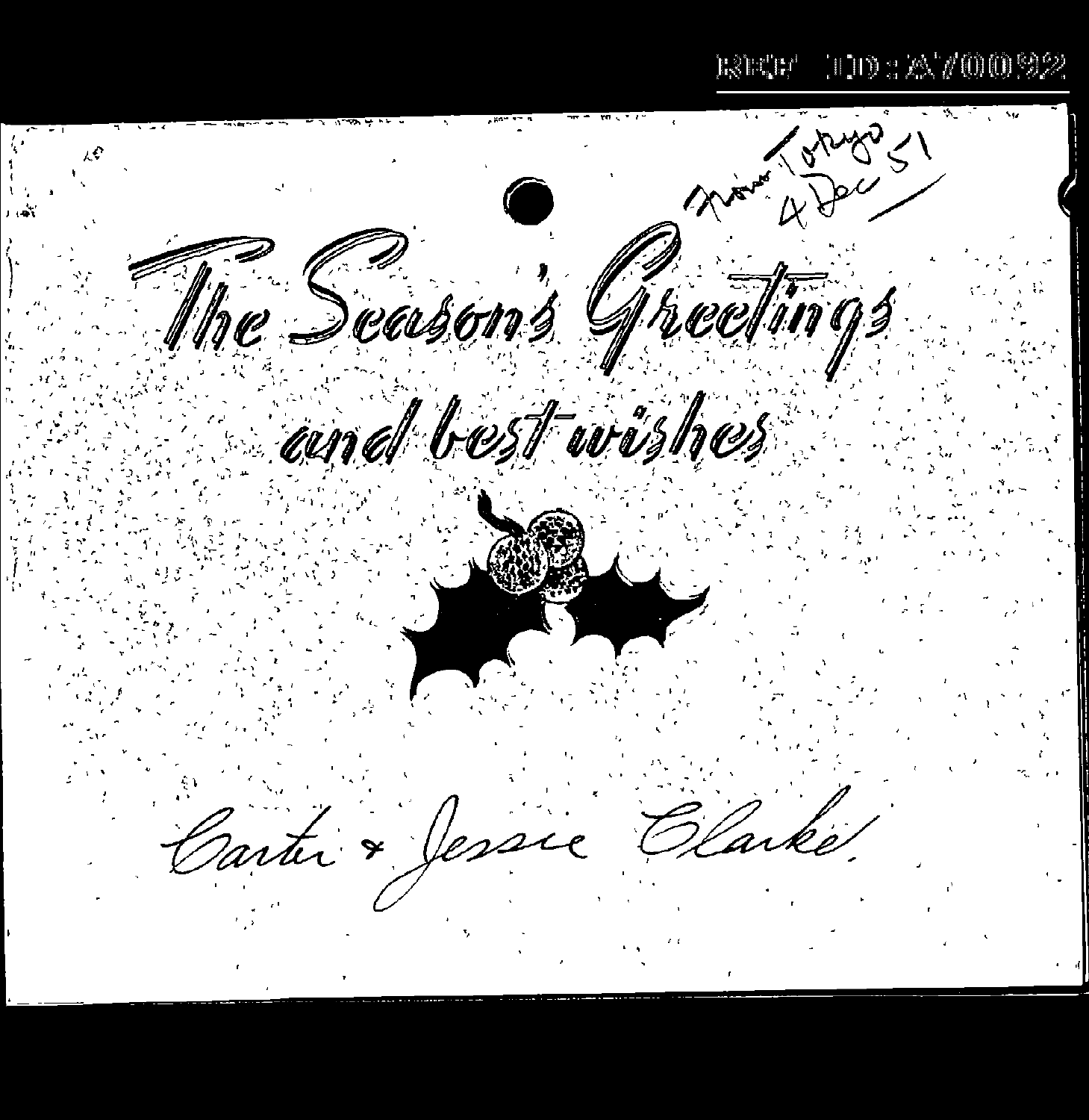## JDD: A70092 ngmung

When Wowers he Season's Greetings and best wishes Carter & Jessie <u>Glarke/</u>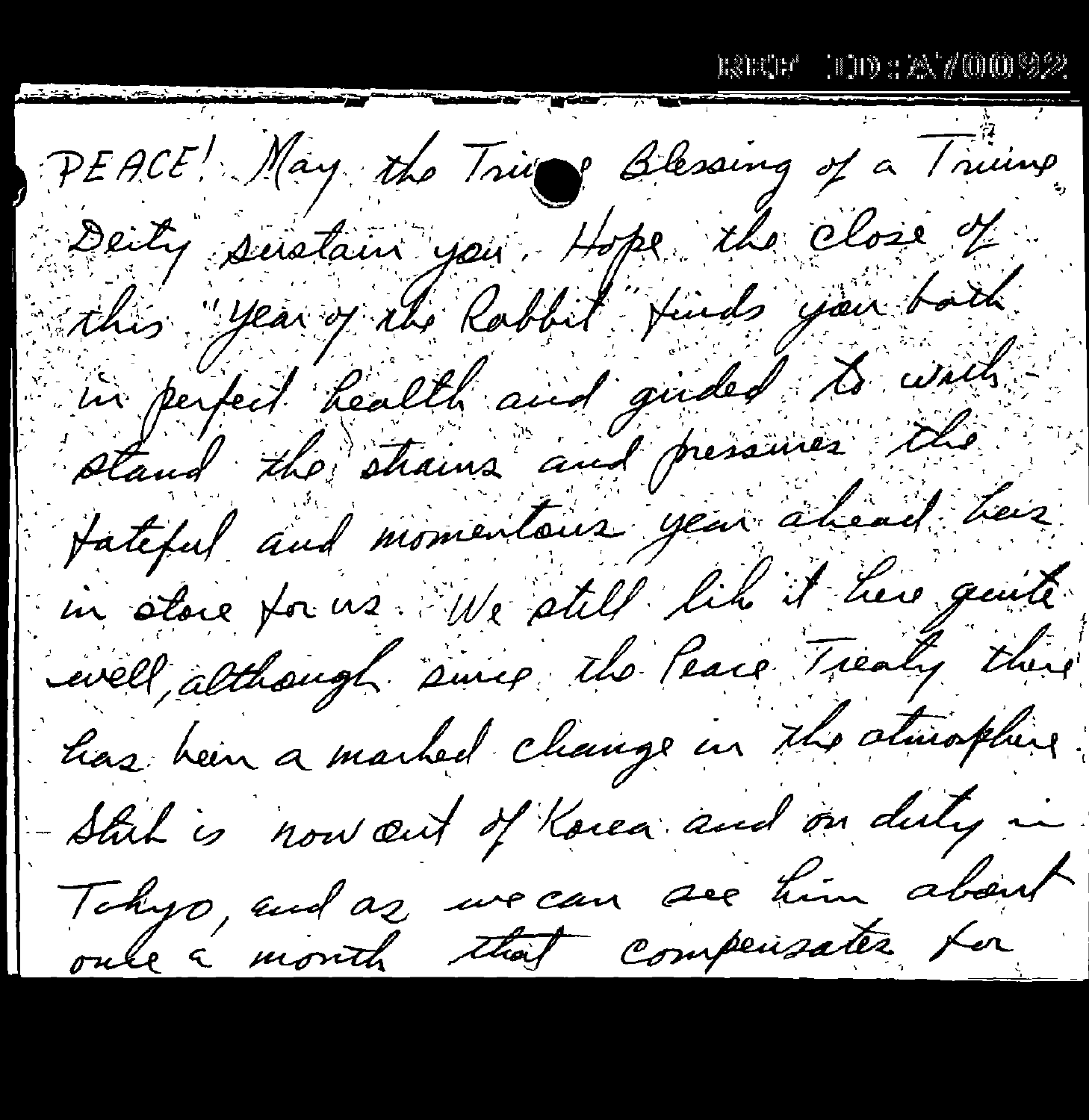100 : 2700092 PEACE! May the Tring Blessing of a Tring Deity sustain you. Hope the close of this year of the Robbit finds you both in perfect health and guided to write stand the strains and pressures the fateful and momentous year ahead heir in store for us. We still like it have guite evell, although since the Peace Treaty there has been a marked change in the striothing Stick is now out of Korea and on duty in Tchyo, and as we can see him about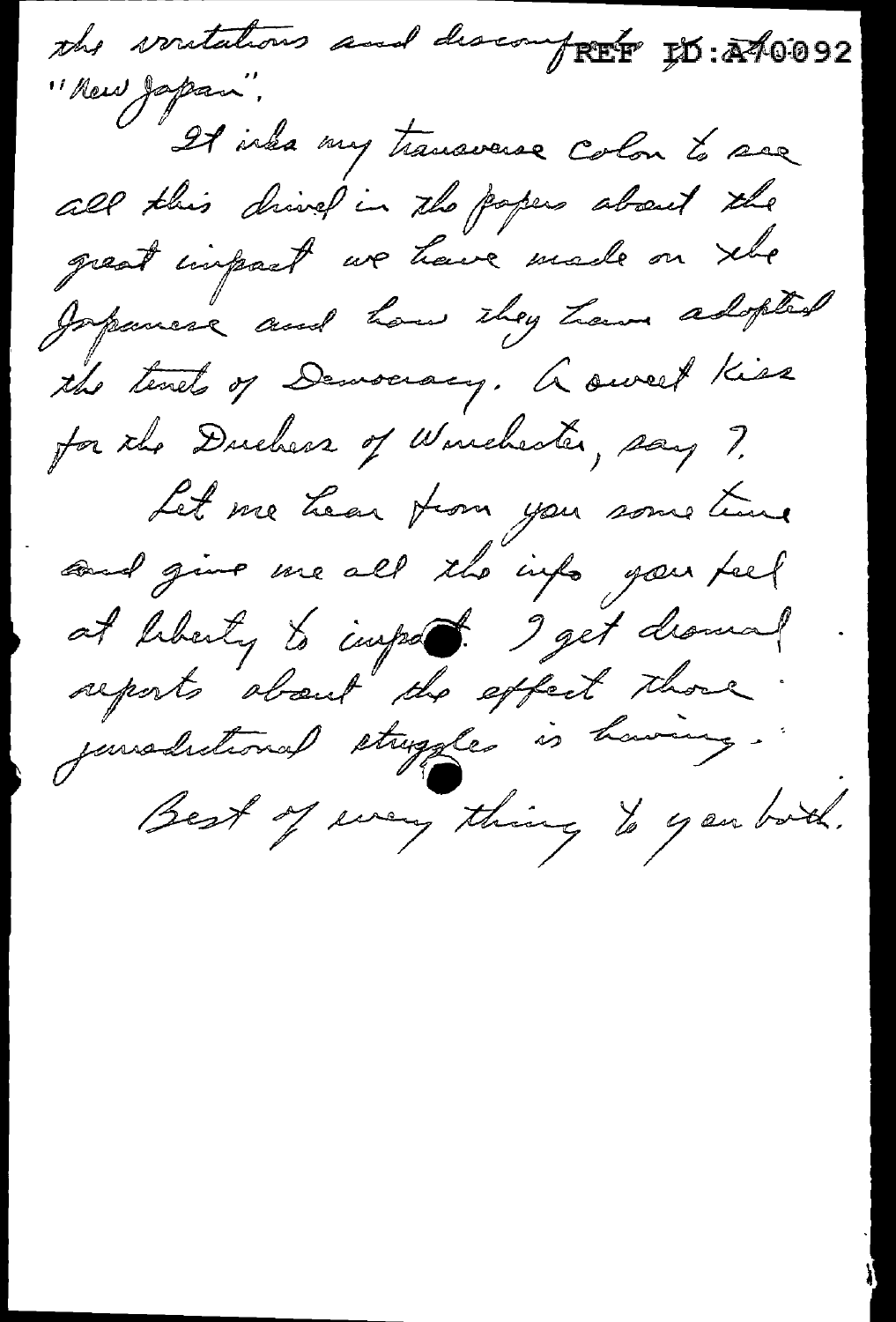the voutations and discompate ID: A40092 "New Japan". It ises my transverse color to see all this drived in the papers about the great impact we have made on the Jopanese and have they have adopted the tenets of Democracy. A sweet Kiss for the Duchess of Winchester, say ? Let me hear from you some time and give me all the info you hel at hberty to import . I get dramal junadistinal struggles is having. Best of every thing to you bod.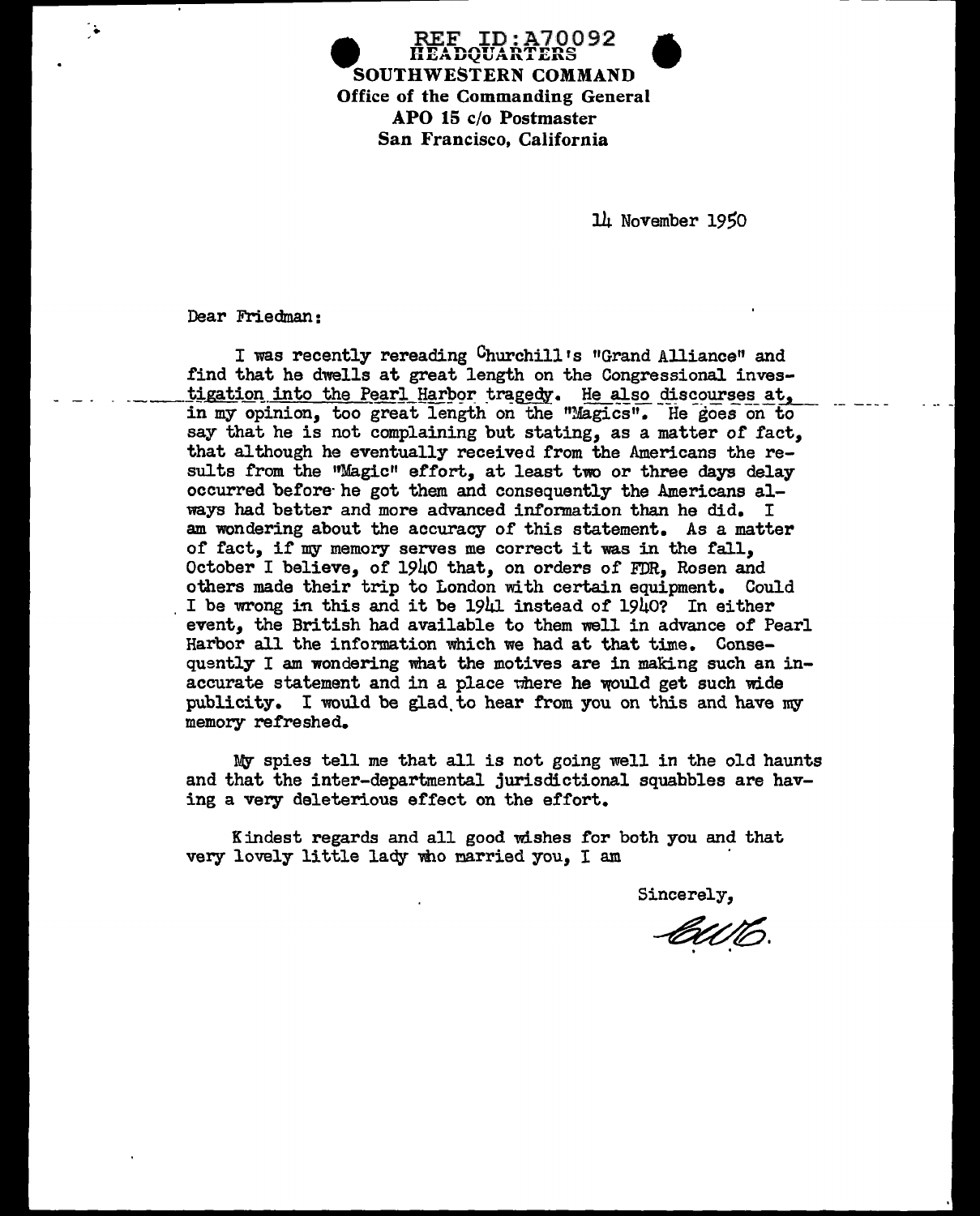REF ID: A70092<br>HEADOUARTERS • SOUTHWESTERN COMMAND Office of the Commanding General APO 15 c/o Postmaster San Francisco, California

14 November 1950

Dear Friedman:

۰.

I was recently rereading Churchill's "Grand Alliance" and find that he dwells at great length on the Congressional inves-<br>tigation into the Pearl Harbor tragedy. He also discourses at. in my opinion, too great length on the "Magics". He goes on to say that he is not complaining but stating, as a matter of fact, that although he eventually received from the Americans the results from the "Magic" effort, at least two or three days delay occurred before· he got them and consequently the Americans always had better and more advanced information than he did. I am wondering about the accuracy of this statement. As a matter or fact, if my memory serves me correct it was in the fall, October I believe, of 1940 that, on orders of FDR, Rosen and others made their trip to London with certain equipment. Could I be wrong in this and it be 1941 instead of 1940? In either event, the British had available to them well in advance of Pearl Harbor all the information which we had at that time. Consequently I am wondering what the motives are in making such an inaccurate statement and in a place where he would get such wide publicity. I would be glad. to hear from you on this and have mymemory refreshed.

My spies tell me that all is not going well in the old haunts and that the inter-departmental jurisdictional squabbles are having a very deleterious effect on the effort.

Kindest regards and all good wishes for both you and that very lovely little lady who married you. I am

Sincerely,

 $-$ lett $\%$ .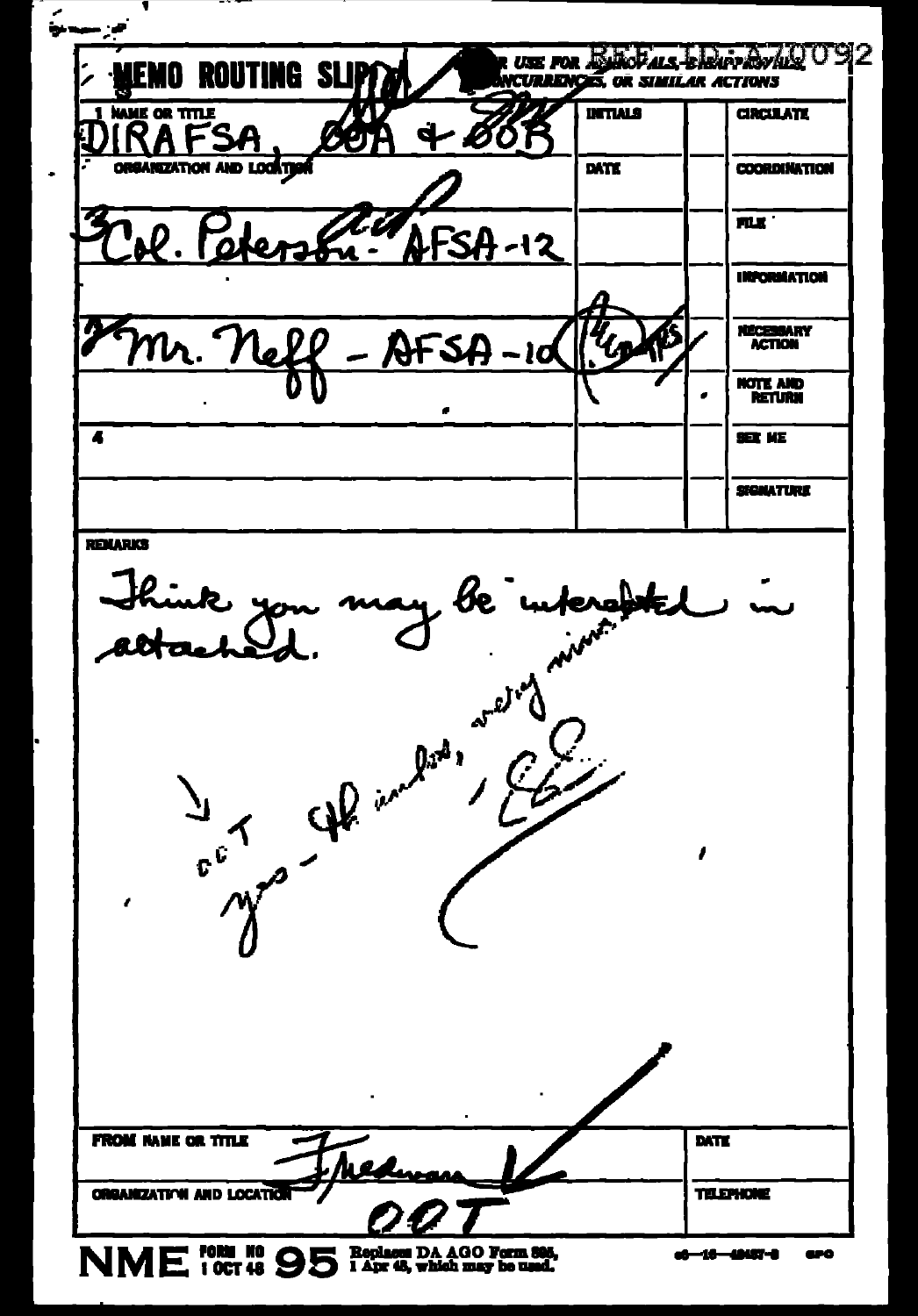**Director OF 92** EMO ROUTING SLIE CURRENCES, OR SIMILAR ACTIONS **INTIALS NAME OR TITLE CIRCULATE** FSA AREZATION AND LOOKT **DATE COORDINATION**  $\overline{\mathbf{m}}$ <u> FSA -12</u> **INFORMATION NECESSARY**  $-10$ **NOTE AND<br>RETURN**  $\overline{\bullet}$ SET KE **SIGNATURE REMARKS** under under the surface of the surface of the surface of the surface of the surface of the surface of the surface of the surface of the surface of the surface of the surface of the surface of the surface of the surface of FROM NAME OR TITLE **DATE ORGANIZATION AND LOCATION TELEPHONE** NME TORM NO 95 Replaces DA AGO Form 889. 16—18157-0  $\bullet$